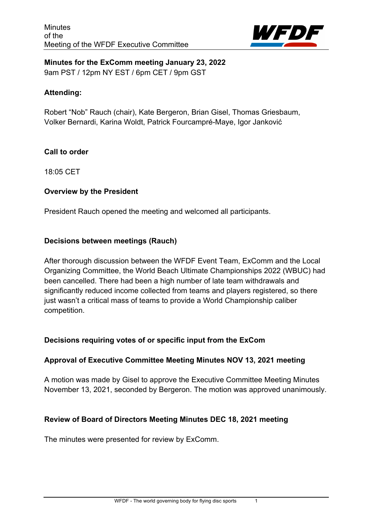

**Minutes for the ExComm meeting January 23, 2022** 9am PST / 12pm NY EST / 6pm CET / 9pm GST

#### **Attending:**

Robert "Nob" Rauch (chair), Kate Bergeron, Brian Gisel, Thomas Griesbaum, Volker Bernardi, Karina Woldt, Patrick Fourcampré-Maye, Igor Janković

#### **Call to order**

18:05 CET

# **Overview by the President**

President Rauch opened the meeting and welcomed all participants.

#### **Decisions between meetings (Rauch)**

After thorough discussion between the WFDF Event Team, ExComm and the Local Organizing Committee, the World Beach Ultimate Championships 2022 (WBUC) had been cancelled. There had been a high number of late team withdrawals and significantly reduced income collected from teams and players registered, so there just wasn't a critical mass of teams to provide a World Championship caliber competition.

# **Decisions requiring votes of or specific input from the ExCom**

#### **Approval of Executive Committee Meeting Minutes NOV 13, 2021 meeting**

A motion was made by Gisel to approve the Executive Committee Meeting Minutes November 13, 2021, seconded by Bergeron. The motion was approved unanimously.

#### **Review of Board of Directors Meeting Minutes DEC 18, 2021 meeting**

The minutes were presented for review by ExComm.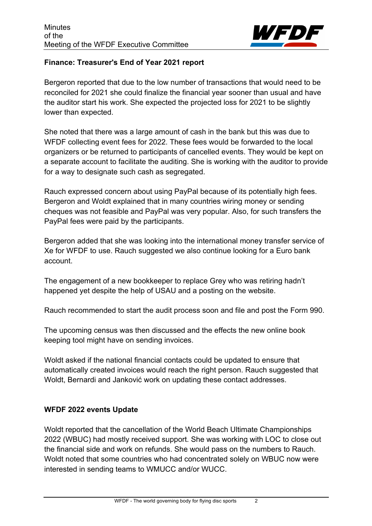

# **Finance: Treasurer's End of Year 2021 report**

Bergeron reported that due to the low number of transactions that would need to be reconciled for 2021 she could finalize the financial year sooner than usual and have the auditor start his work. She expected the projected loss for 2021 to be slightly lower than expected.

She noted that there was a large amount of cash in the bank but this was due to WFDF collecting event fees for 2022. These fees would be forwarded to the local organizers or be returned to participants of cancelled events. They would be kept on a separate account to facilitate the auditing. She is working with the auditor to provide for a way to designate such cash as segregated.

Rauch expressed concern about using PayPal because of its potentially high fees. Bergeron and Woldt explained that in many countries wiring money or sending cheques was not feasible and PayPal was very popular. Also, for such transfers the PayPal fees were paid by the participants.

Bergeron added that she was looking into the international money transfer service of Xe for WFDF to use. Rauch suggested we also continue looking for a Euro bank account.

The engagement of a new bookkeeper to replace Grey who was retiring hadn't happened yet despite the help of USAU and a posting on the website.

Rauch recommended to start the audit process soon and file and post the Form 990.

The upcoming census was then discussed and the effects the new online book keeping tool might have on sending invoices.

Woldt asked if the national financial contacts could be updated to ensure that automatically created invoices would reach the right person. Rauch suggested that Woldt, Bernardi and Janković work on updating these contact addresses.

# **WFDF 2022 events Update**

Woldt reported that the cancellation of the World Beach Ultimate Championships 2022 (WBUC) had mostly received support. She was working with LOC to close out the financial side and work on refunds. She would pass on the numbers to Rauch. Woldt noted that some countries who had concentrated solely on WBUC now were interested in sending teams to WMUCC and/or WUCC.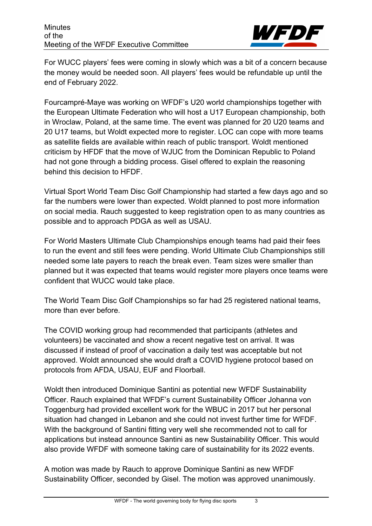

For WUCC players' fees were coming in slowly which was a bit of a concern because the money would be needed soon. All players' fees would be refundable up until the end of February 2022.

Fourcampré-Maye was working on WFDF's U20 world championships together with the European Ultimate Federation who will host a U17 European championship, both in Wroclaw, Poland, at the same time. The event was planned for 20 U20 teams and 20 U17 teams, but Woldt expected more to register. LOC can cope with more teams as satellite fields are available within reach of public transport. Woldt mentioned criticism by HFDF that the move of WJUC from the Dominican Republic to Poland had not gone through a bidding process. Gisel offered to explain the reasoning behind this decision to HFDF.

Virtual Sport World Team Disc Golf Championship had started a few days ago and so far the numbers were lower than expected. Woldt planned to post more information on social media. Rauch suggested to keep registration open to as many countries as possible and to approach PDGA as well as USAU.

For World Masters Ultimate Club Championships enough teams had paid their fees to run the event and still fees were pending. World Ultimate Club Championships still needed some late payers to reach the break even. Team sizes were smaller than planned but it was expected that teams would register more players once teams were confident that WUCC would take place.

The World Team Disc Golf Championships so far had 25 registered national teams, more than ever before.

The COVID working group had recommended that participants (athletes and volunteers) be vaccinated and show a recent negative test on arrival. It was discussed if instead of proof of vaccination a daily test was acceptable but not approved. Woldt announced she would draft a COVID hygiene protocol based on protocols from AFDA, USAU, EUF and Floorball.

Woldt then introduced Dominique Santini as potential new WFDF Sustainability Officer. Rauch explained that WFDF's current Sustainability Officer Johanna von Toggenburg had provided excellent work for the WBUC in 2017 but her personal situation had changed in Lebanon and she could not invest further time for WFDF. With the background of Santini fitting very well she recommended not to call for applications but instead announce Santini as new Sustainability Officer. This would also provide WFDF with someone taking care of sustainability for its 2022 events.

A motion was made by Rauch to approve Dominique Santini as new WFDF Sustainability Officer, seconded by Gisel. The motion was approved unanimously.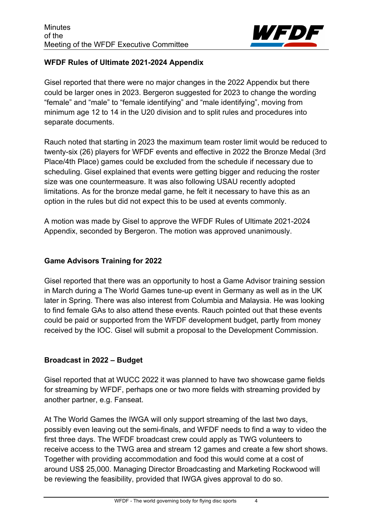

# **WFDF Rules of Ultimate 2021-2024 Appendix**

Gisel reported that there were no major changes in the 2022 Appendix but there could be larger ones in 2023. Bergeron suggested for 2023 to change the wording "female" and "male" to "female identifying" and "male identifying", moving from minimum age 12 to 14 in the U20 division and to split rules and procedures into separate documents.

Rauch noted that starting in 2023 the maximum team roster limit would be reduced to twenty-six (26) players for WFDF events and effective in 2022 the Bronze Medal (3rd Place/4th Place) games could be excluded from the schedule if necessary due to scheduling. Gisel explained that events were getting bigger and reducing the roster size was one countermeasure. It was also following USAU recently adopted limitations. As for the bronze medal game, he felt it necessary to have this as an option in the rules but did not expect this to be used at events commonly.

A motion was made by Gisel to approve the WFDF Rules of Ultimate 2021-2024 Appendix, seconded by Bergeron. The motion was approved unanimously.

#### **Game Advisors Training for 2022**

Gisel reported that there was an opportunity to host a Game Advisor training session in March during a The World Games tune-up event in Germany as well as in the UK later in Spring. There was also interest from Columbia and Malaysia. He was looking to find female GAs to also attend these events. Rauch pointed out that these events could be paid or supported from the WFDF development budget, partly from money received by the IOC. Gisel will submit a proposal to the Development Commission.

# **Broadcast in 2022 – Budget**

Gisel reported that at WUCC 2022 it was planned to have two showcase game fields for streaming by WFDF, perhaps one or two more fields with streaming provided by another partner, e.g. Fanseat.

At The World Games the IWGA will only support streaming of the last two days, possibly even leaving out the semi-finals, and WFDF needs to find a way to video the first three days. The WFDF broadcast crew could apply as TWG volunteers to receive access to the TWG area and stream 12 games and create a few short shows. Together with providing accommodation and food this would come at a cost of around US\$ 25,000. Managing Director Broadcasting and Marketing Rockwood will be reviewing the feasibility, provided that IWGA gives approval to do so.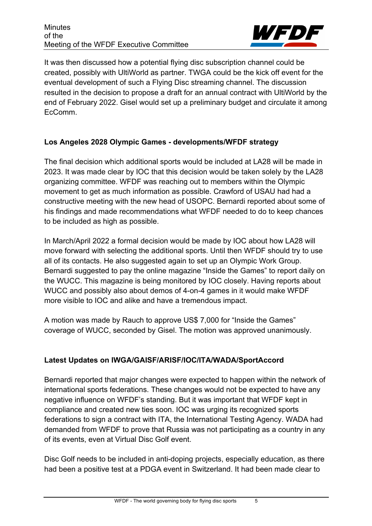

It was then discussed how a potential flying disc subscription channel could be created, possibly with UltiWorld as partner. TWGA could be the kick off event for the eventual development of such a Flying Disc streaming channel. The discussion resulted in the decision to propose a draft for an annual contract with UltiWorld by the end of February 2022. Gisel would set up a preliminary budget and circulate it among EcComm.

# **Los Angeles 2028 Olympic Games - developments/WFDF strategy**

The final decision which additional sports would be included at LA28 will be made in 2023. It was made clear by IOC that this decision would be taken solely by the LA28 organizing committee. WFDF was reaching out to members within the Olympic movement to get as much information as possible. Crawford of USAU had had a constructive meeting with the new head of USOPC. Bernardi reported about some of his findings and made recommendations what WFDF needed to do to keep chances to be included as high as possible.

In March/April 2022 a formal decision would be made by IOC about how LA28 will move forward with selecting the additional sports. Until then WFDF should try to use all of its contacts. He also suggested again to set up an Olympic Work Group. Bernardi suggested to pay the online magazine "Inside the Games" to report daily on the WUCC. This magazine is being monitored by IOC closely. Having reports about WUCC and possibly also about demos of 4-on-4 games in it would make WFDF more visible to IOC and alike and have a tremendous impact.

A motion was made by Rauch to approve US\$ 7,000 for "Inside the Games" coverage of WUCC, seconded by Gisel. The motion was approved unanimously.

# **Latest Updates on IWGA/GAISF/ARISF/IOC/ITA/WADA/SportAccord**

Bernardi reported that major changes were expected to happen within the network of international sports federations. These changes would not be expected to have any negative influence on WFDF's standing. But it was important that WFDF kept in compliance and created new ties soon. IOC was urging its recognized sports federations to sign a contract with ITA, the International Testing Agency. WADA had demanded from WFDF to prove that Russia was not participating as a country in any of its events, even at Virtual Disc Golf event.

Disc Golf needs to be included in anti-doping projects, especially education, as there had been a positive test at a PDGA event in Switzerland. It had been made clear to